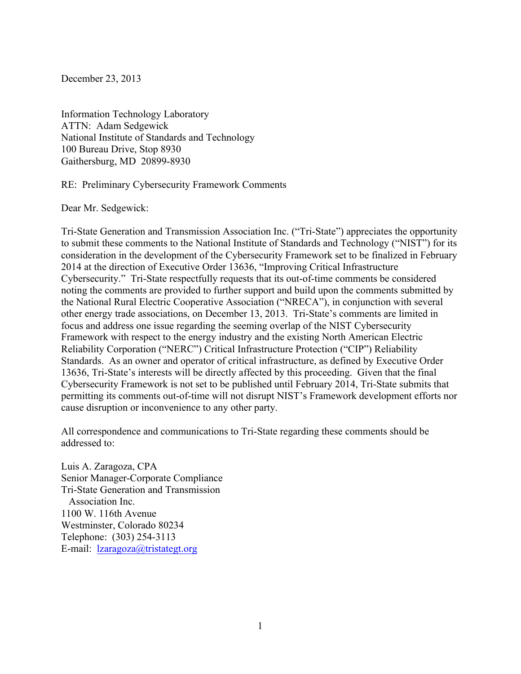December 23, 2013

Information Technology Laboratory ATTN: Adam Sedgewick National Institute of Standards and Technology 100 Bureau Drive, Stop 8930 Gaithersburg, MD 20899-8930

RE: Preliminary Cybersecurity Framework Comments

Dear Mr. Sedgewick:

 Cybersecurity." Tri-State respectfully requests that its out-of-time comments be considered other energy trade associations, on December 13, 2013. Tri-State's comments are limited in focus and address one issue regarding the seeming overlap of the NIST Cybersecurity Tri-State Generation and Transmission Association Inc. ("Tri-State") appreciates the opportunity to submit these comments to the National Institute of Standards and Technology ("NIST") for its consideration in the development of the Cybersecurity Framework set to be finalized in February 2014 at the direction of Executive Order 13636, "Improving Critical Infrastructure noting the comments are provided to further support and build upon the comments submitted by the National Rural Electric Cooperative Association ("NRECA"), in conjunction with several Framework with respect to the energy industry and the existing North American Electric Reliability Corporation ("NERC") Critical Infrastructure Protection ("CIP") Reliability Standards. As an owner and operator of critical infrastructure, as defined by Executive Order 13636, Tri-State's interests will be directly affected by this proceeding. Given that the final Cybersecurity Framework is not set to be published until February 2014, Tri-State submits that permitting its comments out-of-time will not disrupt NIST's Framework development efforts nor cause disruption or inconvenience to any other party.

 All correspondence and communications to Tri-State regarding these comments should be addressed to:

 Telephone: (303) 254-3113 E-mail: **lzaragoza@tristategt.org** Luis A. Zaragoza, CPA Senior Manager-Corporate Compliance Tri-State Generation and Transmission Association Inc. 1100 W. 116th Avenue Westminster, Colorado 80234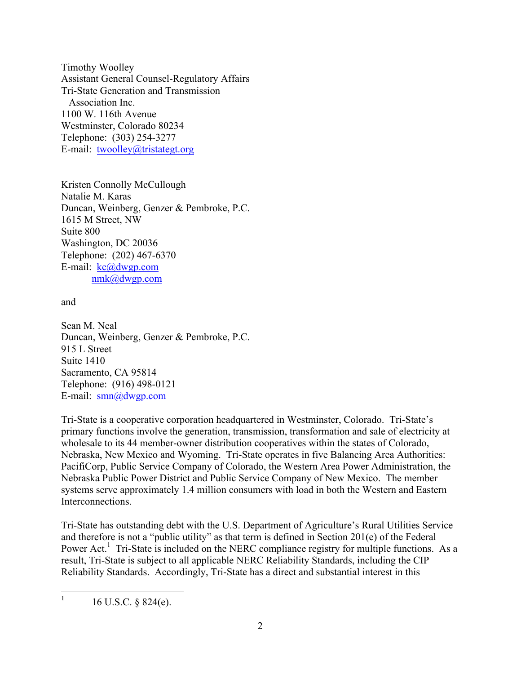Telephone: (303) 254-3277 Timothy Woolley Assistant General Counsel-Regulatory Affairs Tri-State Generation and Transmission Association Inc. 1100 W. 116th Avenue Westminster, Colorado 80234 E-mail: twoolley@tristategt.org

E-mail: kc@dwgp.com nmk@dwgp.com<br>and Kristen Connolly McCullough Natalie M. Karas Duncan, Weinberg, Genzer & Pembroke, P.C. 1615 M Street, NW Suite 800 Washington, DC 20036 Telephone: (202) 467-6370

915 L Street<br>Suite 1410 E-mail: smn@dwgp.com Sean M. Neal Duncan, Weinberg, Genzer & Pembroke, P.C. Sacramento, CA 95814 Telephone: (916) 498-0121

 Tri-State is a cooperative corporation headquartered in Westminster, Colorado. Tri-State's primary functions involve the generation, transmission, transformation and sale of electricity at Nebraska, New Mexico and Wyoming. Tri-State operates in five Balancing Area Authorities: Nebraska Public Power District and Public Service Company of New Mexico. The member wholesale to its 44 member-owner distribution cooperatives within the states of Colorado, PacifiCorp, Public Service Company of Colorado, the Western Area Power Administration, the systems serve approximately 1.4 million consumers with load in both the Western and Eastern **Interconnections** 

 and therefore is not a "public utility" as that term is defined in Section 201(e) of the Federal Power Act.<sup>1</sup> Tri-State is included on the NERC compliance registry for multiple functions. As a result, Tri-State is subject to all applicable NERC Reliability Standards, including the CIP Reliability Standards. Accordingly, Tri-State has a direct and substantial interest in this Tri-State has outstanding debt with the U.S. Department of Agriculture's Rural Utilities Service

 $\overline{a}$  1 16 U.S.C. § 824(e).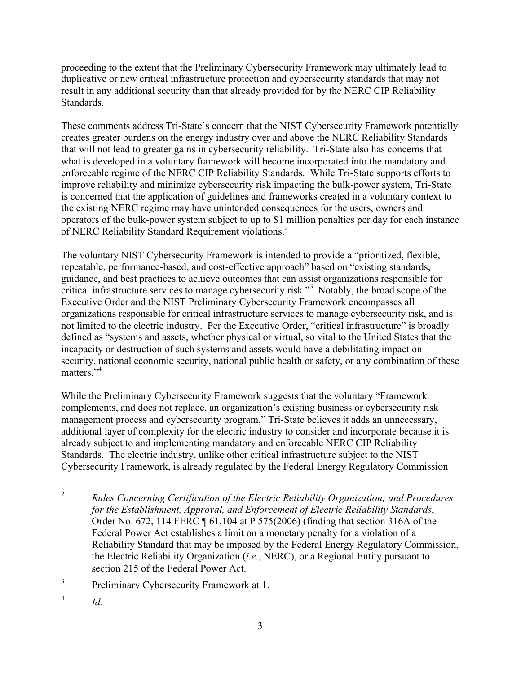duplicative or new critical infrastructure protection and cybersecurity standards that may not Standards. proceeding to the extent that the Preliminary Cybersecurity Framework may ultimately lead to result in any additional security than that already provided for by the NERC CIP Reliability

Standards.<br>These comments address Tri-State's concern that the NIST Cybersecurity Framework potentially is concerned that the application of guidelines and frameworks created in a voluntary context to creates greater burdens on the energy industry over and above the NERC Reliability Standards that will not lead to greater gains in cybersecurity reliability. Tri-State also has concerns that what is developed in a voluntary framework will become incorporated into the mandatory and enforceable regime of the NERC CIP Reliability Standards. While Tri-State supports efforts to improve reliability and minimize cybersecurity risk impacting the bulk-power system, Tri-State the existing NERC regime may have unintended consequences for the users, owners and operators of the bulk-power system subject to up to \$1 million penalties per day for each instance of NERC Reliability Standard Requirement violations.<sup>2</sup>

critical infrastructure services to manage cybersecurity risk."<sup>3</sup> Notably, the broad scope of the not limited to the electric industry. Per the Executive Order, "critical infrastructure" is broadly matters."<sup>4</sup> The voluntary NIST Cybersecurity Framework is intended to provide a "prioritized, flexible, repeatable, performance-based, and cost-effective approach" based on "existing standards, guidance, and best practices to achieve outcomes that can assist organizations responsible for Executive Order and the NIST Preliminary Cybersecurity Framework encompasses all organizations responsible for critical infrastructure services to manage cybersecurity risk, and is defined as "systems and assets, whether physical or virtual, so vital to the United States that the incapacity or destruction of such systems and assets would have a debilitating impact on security, national economic security, national public health or safety, or any combination of these

 additional layer of complexity for the electric industry to consider and incorporate because it is While the Preliminary Cybersecurity Framework suggests that the voluntary "Framework complements, and does not replace, an organization's existing business or cybersecurity risk management process and cybersecurity program," Tri-State believes it adds an unnecessary, already subject to and implementing mandatory and enforceable NERC CIP Reliability Standards. The electric industry, unlike other critical infrastructure subject to the NIST Cybersecurity Framework, is already regulated by the Federal Energy Regulatory Commission

 $\overline{a}$ <sup>2</sup>*Rules Concerning Certification of the Electric Reliability Organization; and Procedures for the Establishment, Approval, and Enforcement of Electric Reliability Standards*, Order No. 672, 114 FERC ¶ 61,104 at P 575(2006) (finding that section 316A of the Federal Power Act establishes a limit on a monetary penalty for a violation of a Reliability Standard that may be imposed by the Federal Energy Regulatory Commission, the Electric Reliability Organization (*i.e.*, NERC), or a Regional Entity pursuant to section 215 of the Federal Power Act.

 $\mathfrak{Z}$ Preliminary Cybersecurity Framework at 1.

 $\overline{4}$  $Id$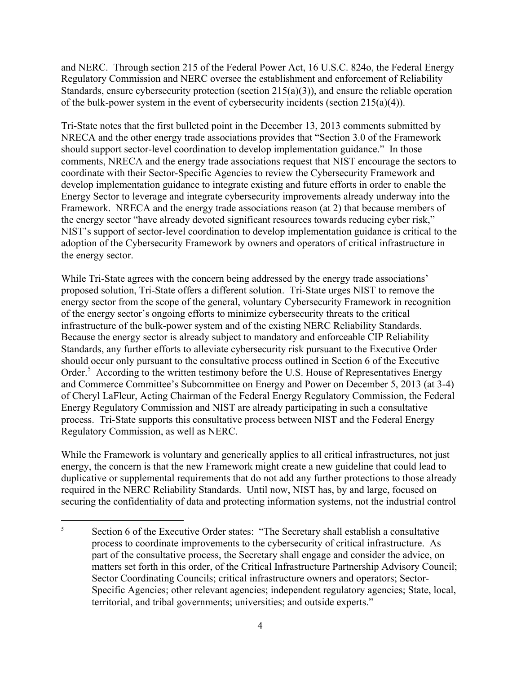and NERC. Through section 215 of the Federal Power Act, 16 U.S.C. 824o, the Federal Energy Regulatory Commission and NERC oversee the establishment and enforcement of Reliability Standards, ensure cybersecurity protection (section 215(a)(3)), and ensure the reliable operation of the bulk-power system in the event of cybersecurity incidents (section 215(a)(4)).

 should support sector-level coordination to develop implementation guidance." In those Framework. NRECA and the energy trade associations reason (at 2) that because members of the energy sector "have already devoted significant resources towards reducing cyber risk," Tri-State notes that the first bulleted point in the December 13, 2013 comments submitted by NRECA and the other energy trade associations provides that "Section 3.0 of the Framework comments, NRECA and the energy trade associations request that NIST encourage the sectors to coordinate with their Sector-Specific Agencies to review the Cybersecurity Framework and develop implementation guidance to integrate existing and future efforts in order to enable the Energy Sector to leverage and integrate cybersecurity improvements already underway into the NIST's support of sector-level coordination to develop implementation guidance is critical to the adoption of the Cybersecurity Framework by owners and operators of critical infrastructure in the energy sector.

 proposed solution, Tri-State offers a different solution. Tri-State urges NIST to remove the energy sector from the scope of the general, voluntary Cybersecurity Framework in recognition of the energy sector's ongoing efforts to minimize cybersecurity threats to the critical Because the energy sector is already subject to mandatory and enforceable CIP Reliability Order.<sup>5</sup> According to the written testimony before the U.S. House of Representatives Energy of Cheryl LaFleur, Acting Chairman of the Federal Energy Regulatory Commission, the Federal process. Tri-State supports this consultative process between NIST and the Federal Energy Regulatory Commission, as well as NERC. While Tri-State agrees with the concern being addressed by the energy trade associations' infrastructure of the bulk-power system and of the existing NERC Reliability Standards. Standards, any further efforts to alleviate cybersecurity risk pursuant to the Executive Order should occur only pursuant to the consultative process outlined in Section 6 of the Executive and Commerce Committee's Subcommittee on Energy and Power on December 5, 2013 (at 3-4) Energy Regulatory Commission and NIST are already participating in such a consultative

 energy, the concern is that the new Framework might create a new guideline that could lead to required in the NERC Reliability Standards. Until now, NIST has, by and large, focused on While the Framework is voluntary and generically applies to all critical infrastructures, not just duplicative or supplemental requirements that do not add any further protections to those already securing the confidentiality of data and protecting information systems, not the industrial control

 $\overline{a}$ Section 6 of the Executive Order states: "The Secretary shall establish a consultative process to coordinate improvements to the cybersecurity of critical infrastructure. As part of the consultative process, the Secretary shall engage and consider the advice, on matters set forth in this order, of the Critical Infrastructure Partnership Advisory Council; Sector Coordinating Councils; critical infrastructure owners and operators; Sector-Specific Agencies; other relevant agencies; independent regulatory agencies; State, local, territorial, and tribal governments; universities; and outside experts." 5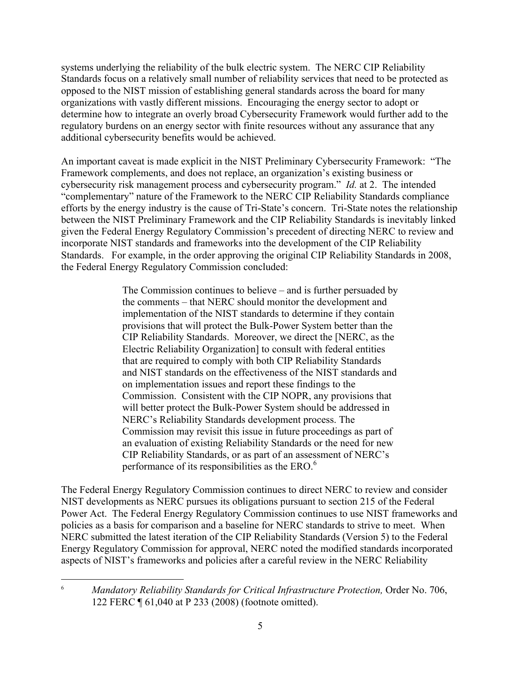systems underlying the reliability of the bulk electric system. The NERC CIP Reliability Standards focus on a relatively small number of reliability services that need to be protected as opposed to the NIST mission of establishing general standards across the board for many organizations with vastly different missions. Encouraging the energy sector to adopt or determine how to integrate an overly broad Cybersecurity Framework would further add to the regulatory burdens on an energy sector with finite resources without any assurance that any additional cybersecurity benefits would be achieved.

 An important caveat is made explicit in the NIST Preliminary Cybersecurity Framework: "The cybersecurity risk management process and cybersecurity program." *Id.* at 2. The intended Framework complements, and does not replace, an organization's existing business or "complementary" nature of the Framework to the NERC CIP Reliability Standards compliance efforts by the energy industry is the cause of Tri-State's concern. Tri-State notes the relationship between the NIST Preliminary Framework and the CIP Reliability Standards is inevitably linked given the Federal Energy Regulatory Commission's precedent of directing NERC to review and incorporate NIST standards and frameworks into the development of the CIP Reliability Standards. For example, in the order approving the original CIP Reliability Standards in 2008, the Federal Energy Regulatory Commission concluded:

> The Commission continues to believe – and is further persuaded by the comments – that NERC should monitor the development and provisions that will protect the Bulk-Power System better than the Electric Reliability Organization] to consult with federal entities Commission. Consistent with the CIP NOPR, any provisions that an evaluation of existing Reliability Standards or the need for new implementation of the NIST standards to determine if they contain CIP Reliability Standards. Moreover, we direct the [NERC, as the that are required to comply with both CIP Reliability Standards and NIST standards on the effectiveness of the NIST standards and on implementation issues and report these findings to the will better protect the Bulk-Power System should be addressed in NERC's Reliability Standards development process. The Commission may revisit this issue in future proceedings as part of CIP Reliability Standards, or as part of an assessment of NERC's performance of its responsibilities as the ERO.<sup>6</sup>

The Federal Energy Regulatory Commission continues to direct NERC to review and consider NIST developments as NERC pursues its obligations pursuant to section 215 of the Federal Power Act. The Federal Energy Regulatory Commission continues to use NIST frameworks and policies as a basis for comparison and a baseline for NERC standards to strive to meet. When NERC submitted the latest iteration of the CIP Reliability Standards (Version 5) to the Federal Energy Regulatory Commission for approval, NERC noted the modified standards incorporated aspects of NIST's frameworks and policies after a careful review in the NERC Reliability

 $\overline{a}$ 

 6 *Mandatory Reliability Standards for Critical Infrastructure Protection,* Order No. 706, 122 FERC ¶ 61,040 at P 233 (2008) (footnote omitted).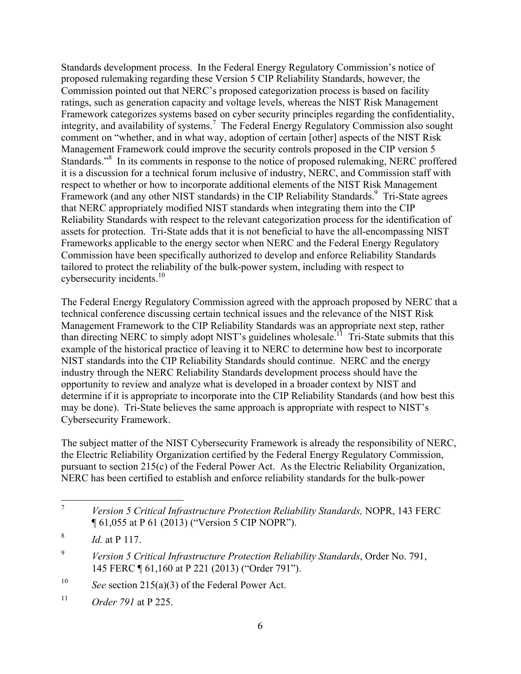proposed rulemaking regarding these Version 5 CIP Reliability Standards, however, the integrity, and availability of systems.<sup>7</sup> The Federal Energy Regulatory Commission also sought Standards."<sup>8</sup> In its comments in response to the notice of proposed rulemaking, NERC proffered Framework (and any other NIST standards) in the CIP Reliability Standards.<sup>9</sup> Tri-State agrees cybersecurity incidents.<sup>10</sup> Standards development process. In the Federal Energy Regulatory Commission's notice of Commission pointed out that NERC's proposed categorization process is based on facility ratings, such as generation capacity and voltage levels, whereas the NIST Risk Management Framework categorizes systems based on cyber security principles regarding the confidentiality, comment on "whether, and in what way, adoption of certain [other] aspects of the NIST Risk Management Framework could improve the security controls proposed in the CIP version 5 it is a discussion for a technical forum inclusive of industry, NERC, and Commission staff with respect to whether or how to incorporate additional elements of the NIST Risk Management that NERC appropriately modified NIST standards when integrating them into the CIP Reliability Standards with respect to the relevant categorization process for the identification of assets for protection. Tri-State adds that it is not beneficial to have the all-encompassing NIST Frameworks applicable to the energy sector when NERC and the Federal Energy Regulatory Commission have been specifically authorized to develop and enforce Reliability Standards tailored to protect the reliability of the bulk-power system, including with respect to

 The Federal Energy Regulatory Commission agreed with the approach proposed by NERC that a than directing NERC to simply adopt NIST's guidelines wholesale.<sup>11</sup> Tri-State submits that this opportunity to review and analyze what is developed in a broader context by NIST and technical conference discussing certain technical issues and the relevance of the NIST Risk Management Framework to the CIP Reliability Standards was an appropriate next step, rather example of the historical practice of leaving it to NERC to determine how best to incorporate NIST standards into the CIP Reliability Standards should continue. NERC and the energy industry through the NERC Reliability Standards development process should have the determine if it is appropriate to incorporate into the CIP Reliability Standards (and how best this may be done). Tri-State believes the same approach is appropriate with respect to NIST's Cybersecurity Framework.

The subject matter of the NIST Cybersecurity Framework is already the responsibility of NERC, the Electric Reliability Organization certified by the Federal Energy Regulatory Commission, pursuant to section 215(c) of the Federal Power Act. As the Electric Reliability Organization, NERC has been certified to establish and enforce reliability standards for the bulk-power

 $\overline{a}$ 

10 See section  $215(a)(3)$  of the Federal Power Act.

 $\boldsymbol{7}$ *Version 5 Critical Infrastructure Protection Reliability Standards, NOPR, 143 FERC* ¶ 61,055 at P 61 (2013) ("Version 5 CIP NOPR").

<sup>8</sup> *Id.* at P 117.

<sup>9</sup> Version 5 Critical Infrastructure Protection Reliability Standards, Order No. 791, 145 FERC ¶ 61,160 at P 221 (2013) ("Order 791").

 $11$ *Order 791* at P 225.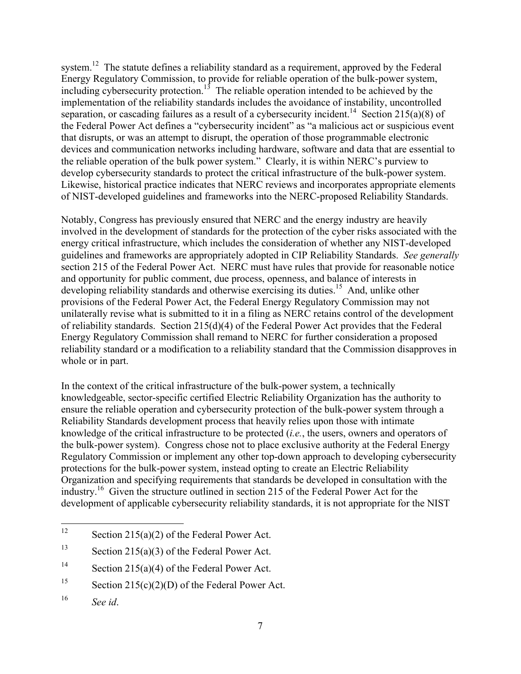system.<sup>12</sup> The statute defines a reliability standard as a requirement, approved by the Federal including cybersecurity protection.<sup>15</sup> The reliable operation intended to be achieved by the separation, or cascading failures as a result of a cybersecurity incident.<sup>14</sup> Section 215(a)(8) of the Federal Power Act defines a "cybersecurity incident" as "a malicious act or suspicious event the reliable operation of the bulk power system." Clearly, it is within NERC's purview to Energy Regulatory Commission, to provide for reliable operation of the bulk-power system, implementation of the reliability standards includes the avoidance of instability, uncontrolled that disrupts, or was an attempt to disrupt, the operation of those programmable electronic devices and communication networks including hardware, software and data that are essential to develop cybersecurity standards to protect the critical infrastructure of the bulk-power system. Likewise, historical practice indicates that NERC reviews and incorporates appropriate elements

 of NIST-developed guidelines and frameworks into the NERC-proposed Reliability Standards. Notably, Congress has previously ensured that NERC and the energy industry are heavily developing reliability standards and otherwise exercising its duties.<sup>15</sup> And, unlike other of reliability standards. Section 215(d)(4) of the Federal Power Act provides that the Federal whole or in part. involved in the development of standards for the protection of the cyber risks associated with the energy critical infrastructure, which includes the consideration of whether any NIST-developed guidelines and frameworks are appropriately adopted in CIP Reliability Standards. *See generally*  section 215 of the Federal Power Act. NERC must have rules that provide for reasonable notice and opportunity for public comment, due process, openness, and balance of interests in provisions of the Federal Power Act, the Federal Energy Regulatory Commission may not unilaterally revise what is submitted to it in a filing as NERC retains control of the development Energy Regulatory Commission shall remand to NERC for further consideration a proposed reliability standard or a modification to a reliability standard that the Commission disapproves in

 industry.16 Given the structure outlined in section 215 of the Federal Power Act for the In the context of the critical infrastructure of the bulk-power system, a technically knowledgeable, sector-specific certified Electric Reliability Organization has the authority to ensure the reliable operation and cybersecurity protection of the bulk-power system through a Reliability Standards development process that heavily relies upon those with intimate knowledge of the critical infrastructure to be protected (*i.e.*, the users, owners and operators of the bulk-power system). Congress chose not to place exclusive authority at the Federal Energy Regulatory Commission or implement any other top-down approach to developing cybersecurity protections for the bulk-power system, instead opting to create an Electric Reliability Organization and specifying requirements that standards be developed in consultation with the development of applicable cybersecurity reliability standards, it is not appropriate for the NIST

 $\overline{a}$ 

Section  $215(a)(2)$  of the Federal Power Act.

<sup>13</sup> Section  $215(a)(3)$  of the Federal Power Act.

<sup>14</sup> Section  $215(a)(4)$  of the Federal Power Act.

<sup>15</sup> Section  $215(c)(2)(D)$  of the Federal Power Act.

<sup>16</sup> See *id*.